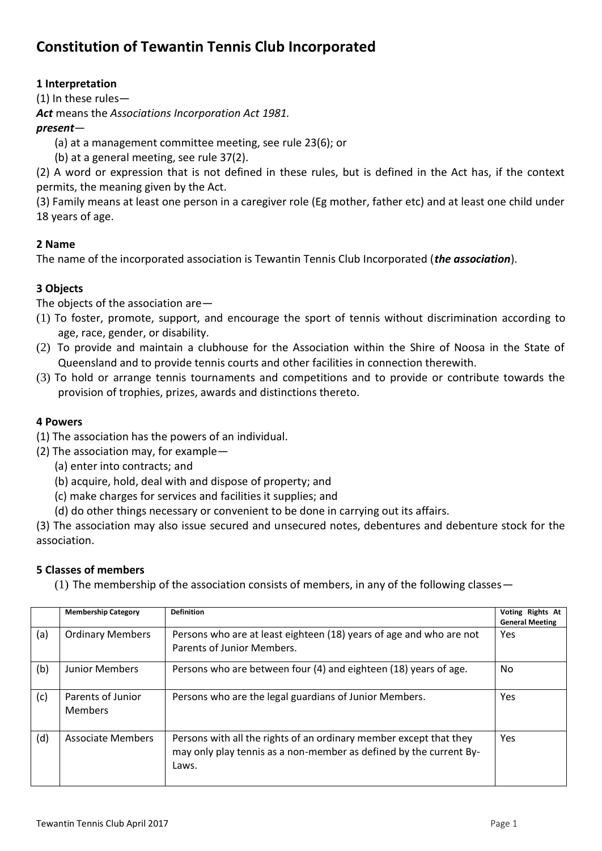# **Constitution of Tewantin Tennis Club Incorporated**

# **1 Interpretation**

(1) In these rules—

*Act* means the *Associations Incorporation Act 1981.*

# *present*—

- (a) at a management committee meeting, see rule 23(6); or
- (b) at a general meeting, see rule 37(2).

(2) A word or expression that is not defined in these rules, but is defined in the Act has, if the context permits, the meaning given by the Act.

(3) Family means at least one person in a caregiver role (Eg mother, father etc) and at least one child under 18 years of age.

# **2 Name**

The name of the incorporated association is Tewantin Tennis Club Incorporated (*the association*).

# **3 Objects**

The objects of the association are—

- (1) To foster, promote, support, and encourage the sport of tennis without discrimination according to age, race, gender, or disability.
- (2) To provide and maintain a clubhouse for the Association within the Shire of Noosa in the State of Queensland and to provide tennis courts and other facilities in connection therewith.
- (3) To hold or arrange tennis tournaments and competitions and to provide or contribute towards the provision of trophies, prizes, awards and distinctions thereto.

# **4 Powers**

- (1) The association has the powers of an individual.
- (2) The association may, for example—
	- (a) enter into contracts; and
	- (b) acquire, hold, deal with and dispose of property; and
	- (c) make charges for services and facilities it supplies; and
	- (d) do other things necessary or convenient to be done in carrying out its affairs.

(3) The association may also issue secured and unsecured notes, debentures and debenture stock for the association.

## **5 Classes of members**

(1) The membership of the association consists of members, in any of the following classes—

|     | <b>Membership Category</b>          | <b>Definition</b>                                                                                                                                 | Voting Rights At<br><b>General Meeting</b> |
|-----|-------------------------------------|---------------------------------------------------------------------------------------------------------------------------------------------------|--------------------------------------------|
| (a) | <b>Ordinary Members</b>             | Persons who are at least eighteen (18) years of age and who are not<br>Parents of Junior Members.                                                 | <b>Yes</b>                                 |
| (b) | <b>Junior Members</b>               | Persons who are between four (4) and eighteen (18) years of age.                                                                                  | No                                         |
| (c) | Parents of Junior<br><b>Members</b> | Persons who are the legal guardians of Junior Members.                                                                                            | <b>Yes</b>                                 |
| (d) | Associate Members                   | Persons with all the rights of an ordinary member except that they<br>may only play tennis as a non-member as defined by the current By-<br>Laws. | Yes                                        |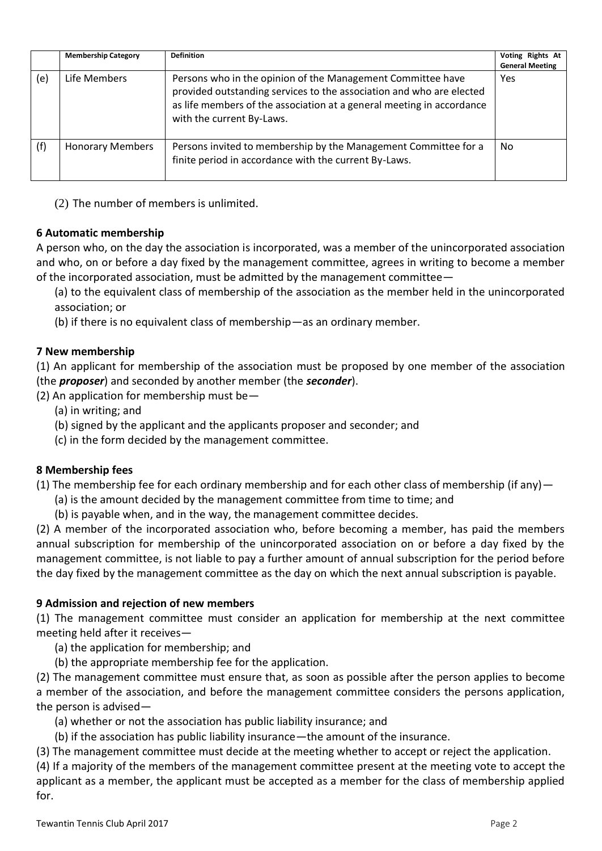|     | <b>Membership Category</b> | <b>Definition</b>                                                                                                                                                                                                                         | Voting Rights At<br><b>General Meeting</b> |
|-----|----------------------------|-------------------------------------------------------------------------------------------------------------------------------------------------------------------------------------------------------------------------------------------|--------------------------------------------|
| (e) | Life Members               | Persons who in the opinion of the Management Committee have<br>provided outstanding services to the association and who are elected<br>as life members of the association at a general meeting in accordance<br>with the current By-Laws. | Yes                                        |
| (f) | <b>Honorary Members</b>    | Persons invited to membership by the Management Committee for a<br>finite period in accordance with the current By-Laws.                                                                                                                  | No                                         |

(2) The number of members is unlimited.

## **6 Automatic membership**

A person who, on the day the association is incorporated, was a member of the unincorporated association and who, on or before a day fixed by the management committee, agrees in writing to become a member of the incorporated association, must be admitted by the management committee—

(a) to the equivalent class of membership of the association as the member held in the unincorporated association; or

(b) if there is no equivalent class of membership—as an ordinary member.

#### **7 New membership**

(1) An applicant for membership of the association must be proposed by one member of the association (the *proposer*) and seconded by another member (the *seconder*).

(2) An application for membership must be—

- (a) in writing; and
- (b) signed by the applicant and the applicants proposer and seconder; and

(c) in the form decided by the management committee.

#### **8 Membership fees**

(1) The membership fee for each ordinary membership and for each other class of membership (if any)  $-$ 

- (a) is the amount decided by the management committee from time to time; and
- (b) is payable when, and in the way, the management committee decides.

(2) A member of the incorporated association who, before becoming a member, has paid the members annual subscription for membership of the unincorporated association on or before a day fixed by the management committee, is not liable to pay a further amount of annual subscription for the period before the day fixed by the management committee as the day on which the next annual subscription is payable.

## **9 Admission and rejection of new members**

(1) The management committee must consider an application for membership at the next committee meeting held after it receives—

(a) the application for membership; and

(b) the appropriate membership fee for the application.

(2) The management committee must ensure that, as soon as possible after the person applies to become a member of the association, and before the management committee considers the persons application, the person is advised—

- (a) whether or not the association has public liability insurance; and
- (b) if the association has public liability insurance—the amount of the insurance.

(3) The management committee must decide at the meeting whether to accept or reject the application.

(4) If a majority of the members of the management committee present at the meeting vote to accept the applicant as a member, the applicant must be accepted as a member for the class of membership applied for.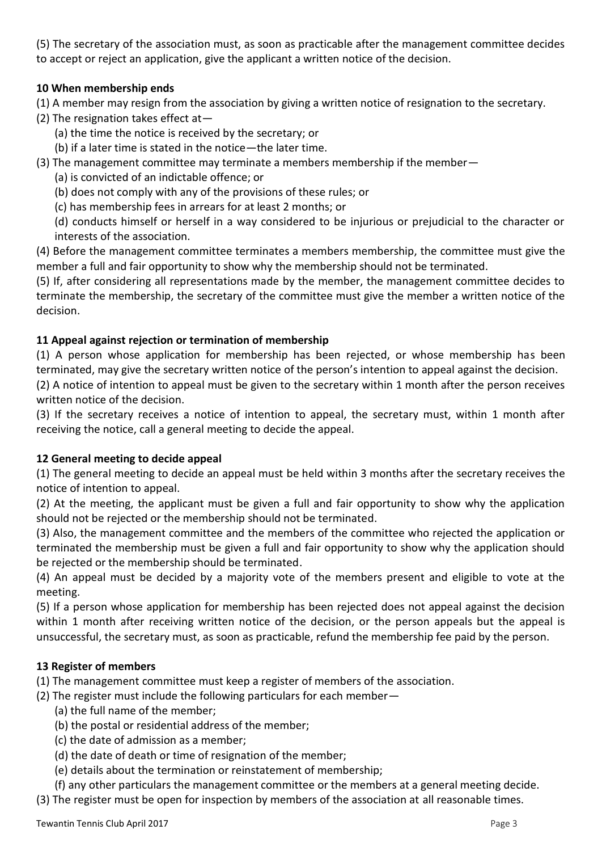(5) The secretary of the association must, as soon as practicable after the management committee decides to accept or reject an application, give the applicant a written notice of the decision.

# **10 When membership ends**

(1) A member may resign from the association by giving a written notice of resignation to the secretary.

- (2) The resignation takes effect at—
	- (a) the time the notice is received by the secretary; or
	- (b) if a later time is stated in the notice—the later time.
- (3) The management committee may terminate a members membership if the member—
	- (a) is convicted of an indictable offence; or
	- (b) does not comply with any of the provisions of these rules; or
	- (c) has membership fees in arrears for at least 2 months; or
	- (d) conducts himself or herself in a way considered to be injurious or prejudicial to the character or interests of the association.

(4) Before the management committee terminates a members membership, the committee must give the member a full and fair opportunity to show why the membership should not be terminated.

(5) If, after considering all representations made by the member, the management committee decides to terminate the membership, the secretary of the committee must give the member a written notice of the decision.

## **11 Appeal against rejection or termination of membership**

(1) A person whose application for membership has been rejected, or whose membership has been terminated, may give the secretary written notice of the person's intention to appeal against the decision. (2) A notice of intention to appeal must be given to the secretary within 1 month after the person receives written notice of the decision.

(3) If the secretary receives a notice of intention to appeal, the secretary must, within 1 month after receiving the notice, call a general meeting to decide the appeal.

## **12 General meeting to decide appeal**

(1) The general meeting to decide an appeal must be held within 3 months after the secretary receives the notice of intention to appeal.

(2) At the meeting, the applicant must be given a full and fair opportunity to show why the application should not be rejected or the membership should not be terminated.

(3) Also, the management committee and the members of the committee who rejected the application or terminated the membership must be given a full and fair opportunity to show why the application should be rejected or the membership should be terminated.

(4) An appeal must be decided by a majority vote of the members present and eligible to vote at the meeting.

(5) If a person whose application for membership has been rejected does not appeal against the decision within 1 month after receiving written notice of the decision, or the person appeals but the appeal is unsuccessful, the secretary must, as soon as practicable, refund the membership fee paid by the person.

## **13 Register of members**

(1) The management committee must keep a register of members of the association.

- (2) The register must include the following particulars for each member—
	- (a) the full name of the member;
	- (b) the postal or residential address of the member;
	- (c) the date of admission as a member;
	- (d) the date of death or time of resignation of the member;
	- (e) details about the termination or reinstatement of membership;
	- (f) any other particulars the management committee or the members at a general meeting decide.
- (3) The register must be open for inspection by members of the association at all reasonable times.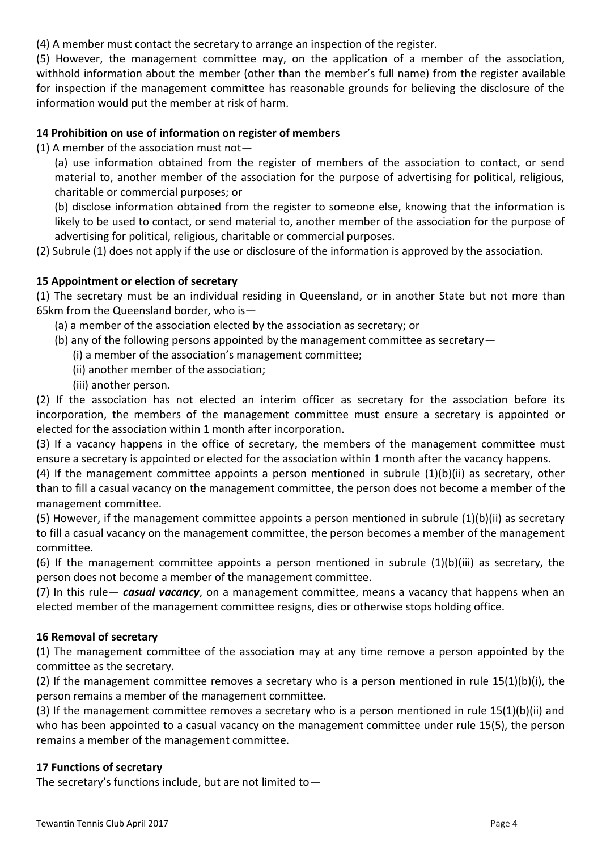(4) A member must contact the secretary to arrange an inspection of the register.

(5) However, the management committee may, on the application of a member of the association, withhold information about the member (other than the member's full name) from the register available for inspection if the management committee has reasonable grounds for believing the disclosure of the information would put the member at risk of harm.

#### **14 Prohibition on use of information on register of members**

(1) A member of the association must not  $-$ 

(a) use information obtained from the register of members of the association to contact, or send material to, another member of the association for the purpose of advertising for political, religious, charitable or commercial purposes; or

(b) disclose information obtained from the register to someone else, knowing that the information is likely to be used to contact, or send material to, another member of the association for the purpose of advertising for political, religious, charitable or commercial purposes.

(2) Subrule (1) does not apply if the use or disclosure of the information is approved by the association.

#### **15 Appointment or election of secretary**

(1) The secretary must be an individual residing in Queensland, or in another State but not more than 65km from the Queensland border, who is—

- (a) a member of the association elected by the association as secretary; or
- (b) any of the following persons appointed by the management committee as secretary—
	- (i) a member of the association's management committee;
	- (ii) another member of the association;
	- (iii) another person.

(2) If the association has not elected an interim officer as secretary for the association before its incorporation, the members of the management committee must ensure a secretary is appointed or elected for the association within 1 month after incorporation.

(3) If a vacancy happens in the office of secretary, the members of the management committee must ensure a secretary is appointed or elected for the association within 1 month after the vacancy happens.

(4) If the management committee appoints a person mentioned in subrule (1)(b)(ii) as secretary, other than to fill a casual vacancy on the management committee, the person does not become a member of the management committee.

(5) However, if the management committee appoints a person mentioned in subrule (1)(b)(ii) as secretary to fill a casual vacancy on the management committee, the person becomes a member of the management committee.

(6) If the management committee appoints a person mentioned in subrule (1)(b)(iii) as secretary, the person does not become a member of the management committee.

(7) In this rule— *casual vacancy*, on a management committee, means a vacancy that happens when an elected member of the management committee resigns, dies or otherwise stops holding office.

#### **16 Removal of secretary**

(1) The management committee of the association may at any time remove a person appointed by the committee as the secretary.

(2) If the management committee removes a secretary who is a person mentioned in rule 15(1)(b)(i), the person remains a member of the management committee.

(3) If the management committee removes a secretary who is a person mentioned in rule 15(1)(b)(ii) and who has been appointed to a casual vacancy on the management committee under rule 15(5), the person remains a member of the management committee.

#### **17 Functions of secretary**

The secretary's functions include, but are not limited to  $-$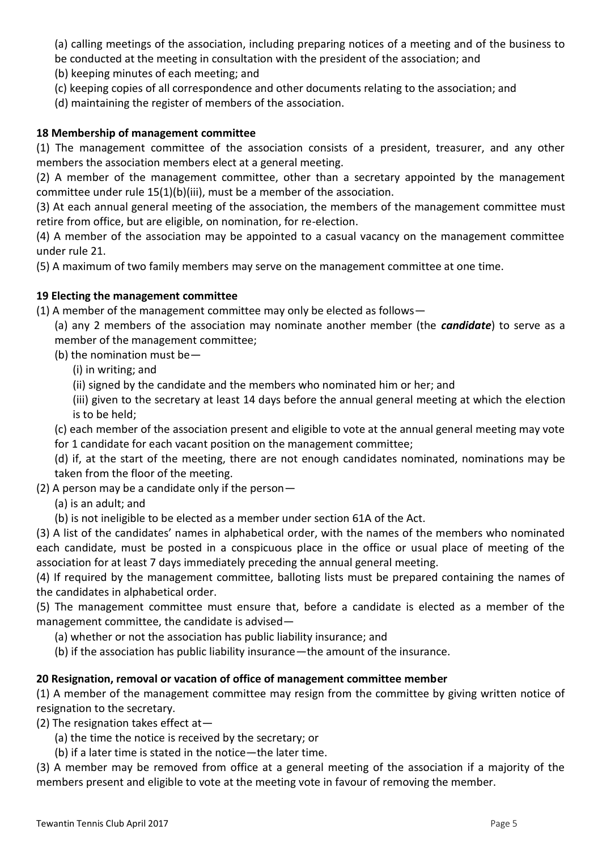(a) calling meetings of the association, including preparing notices of a meeting and of the business to

be conducted at the meeting in consultation with the president of the association; and

(b) keeping minutes of each meeting; and

- (c) keeping copies of all correspondence and other documents relating to the association; and
- (d) maintaining the register of members of the association.

# **18 Membership of management committee**

(1) The management committee of the association consists of a president, treasurer, and any other members the association members elect at a general meeting.

(2) A member of the management committee, other than a secretary appointed by the management committee under rule 15(1)(b)(iii), must be a member of the association.

(3) At each annual general meeting of the association, the members of the management committee must retire from office, but are eligible, on nomination, for re-election.

(4) A member of the association may be appointed to a casual vacancy on the management committee under rule 21.

(5) A maximum of two family members may serve on the management committee at one time.

## **19 Electing the management committee**

(1) A member of the management committee may only be elected as follows—

(a) any 2 members of the association may nominate another member (the *candidate*) to serve as a member of the management committee;

(b) the nomination must be—

(i) in writing; and

(ii) signed by the candidate and the members who nominated him or her; and

(iii) given to the secretary at least 14 days before the annual general meeting at which the election is to be held;

(c) each member of the association present and eligible to vote at the annual general meeting may vote

for 1 candidate for each vacant position on the management committee;

(d) if, at the start of the meeting, there are not enough candidates nominated, nominations may be taken from the floor of the meeting.

(2) A person may be a candidate only if the person—

(a) is an adult; and

(b) is not ineligible to be elected as a member under section 61A of the Act.

(3) A list of the candidates' names in alphabetical order, with the names of the members who nominated each candidate, must be posted in a conspicuous place in the office or usual place of meeting of the association for at least 7 days immediately preceding the annual general meeting.

(4) If required by the management committee, balloting lists must be prepared containing the names of the candidates in alphabetical order.

(5) The management committee must ensure that, before a candidate is elected as a member of the management committee, the candidate is advised—

(a) whether or not the association has public liability insurance; and

(b) if the association has public liability insurance—the amount of the insurance.

## **20 Resignation, removal or vacation of office of management committee member**

(1) A member of the management committee may resign from the committee by giving written notice of resignation to the secretary.

(2) The resignation takes effect at—

(a) the time the notice is received by the secretary; or

(b) if a later time is stated in the notice—the later time.

(3) A member may be removed from office at a general meeting of the association if a majority of the members present and eligible to vote at the meeting vote in favour of removing the member.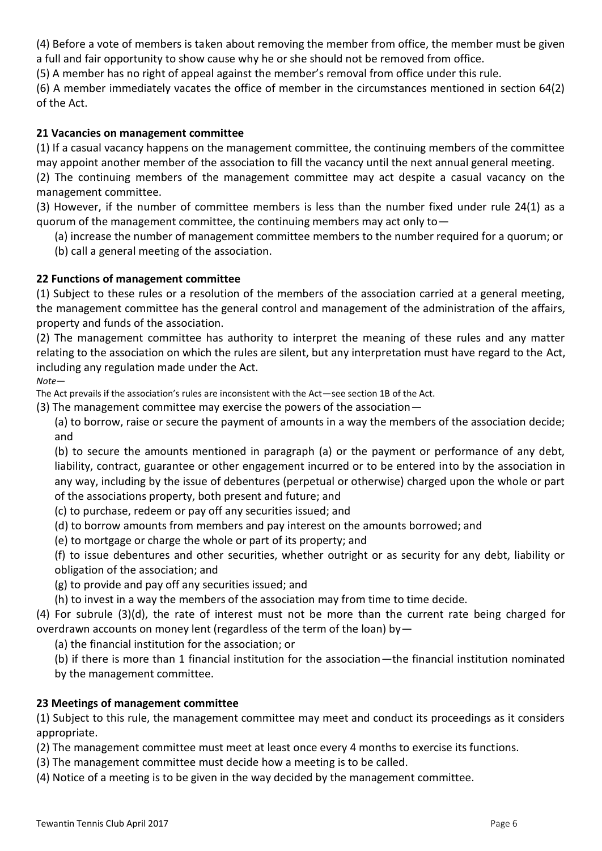(4) Before a vote of members is taken about removing the member from office, the member must be given a full and fair opportunity to show cause why he or she should not be removed from office.

(5) A member has no right of appeal against the member's removal from office under this rule.

(6) A member immediately vacates the office of member in the circumstances mentioned in section 64(2) of the Act.

# **21 Vacancies on management committee**

(1) If a casual vacancy happens on the management committee, the continuing members of the committee may appoint another member of the association to fill the vacancy until the next annual general meeting.

(2) The continuing members of the management committee may act despite a casual vacancy on the management committee.

(3) However, if the number of committee members is less than the number fixed under rule 24(1) as a quorum of the management committee, the continuing members may act only to—

(a) increase the number of management committee members to the number required for a quorum; or

(b) call a general meeting of the association.

## **22 Functions of management committee**

(1) Subject to these rules or a resolution of the members of the association carried at a general meeting, the management committee has the general control and management of the administration of the affairs, property and funds of the association.

(2) The management committee has authority to interpret the meaning of these rules and any matter relating to the association on which the rules are silent, but any interpretation must have regard to the Act, including any regulation made under the Act.

*Note*—

The Act prevails if the association's rules are inconsistent with the Act—see section 1B of the Act.

(3) The management committee may exercise the powers of the association—

(a) to borrow, raise or secure the payment of amounts in a way the members of the association decide; and

(b) to secure the amounts mentioned in paragraph (a) or the payment or performance of any debt, liability, contract, guarantee or other engagement incurred or to be entered into by the association in any way, including by the issue of debentures (perpetual or otherwise) charged upon the whole or part of the associations property, both present and future; and

(c) to purchase, redeem or pay off any securities issued; and

(d) to borrow amounts from members and pay interest on the amounts borrowed; and

(e) to mortgage or charge the whole or part of its property; and

(f) to issue debentures and other securities, whether outright or as security for any debt, liability or obligation of the association; and

(g) to provide and pay off any securities issued; and

(h) to invest in a way the members of the association may from time to time decide.

(4) For subrule (3)(d), the rate of interest must not be more than the current rate being charged for overdrawn accounts on money lent (regardless of the term of the loan) by—

(a) the financial institution for the association; or

(b) if there is more than 1 financial institution for the association—the financial institution nominated by the management committee.

## **23 Meetings of management committee**

(1) Subject to this rule, the management committee may meet and conduct its proceedings as it considers appropriate.

(2) The management committee must meet at least once every 4 months to exercise its functions.

(3) The management committee must decide how a meeting is to be called.

(4) Notice of a meeting is to be given in the way decided by the management committee.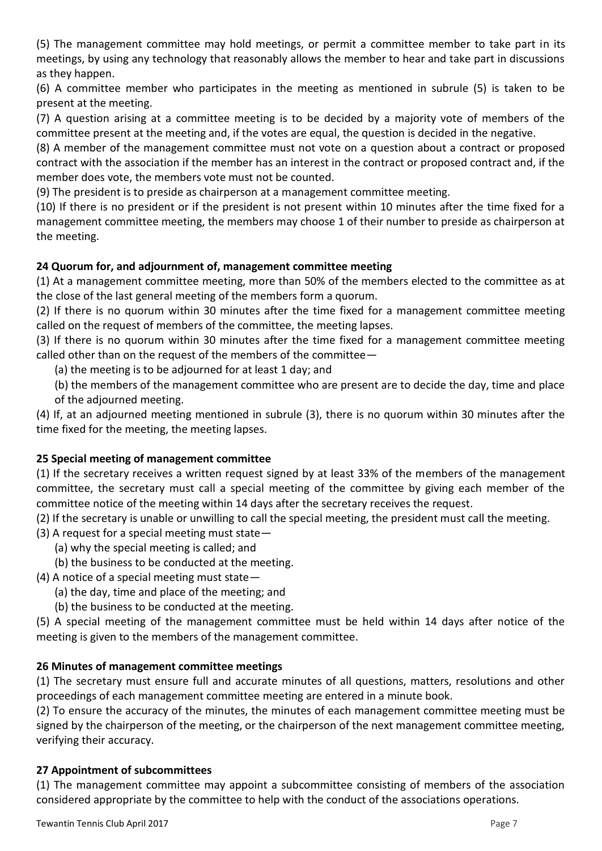(5) The management committee may hold meetings, or permit a committee member to take part in its meetings, by using any technology that reasonably allows the member to hear and take part in discussions as they happen.

(6) A committee member who participates in the meeting as mentioned in subrule (5) is taken to be present at the meeting.

(7) A question arising at a committee meeting is to be decided by a majority vote of members of the committee present at the meeting and, if the votes are equal, the question is decided in the negative.

(8) A member of the management committee must not vote on a question about a contract or proposed contract with the association if the member has an interest in the contract or proposed contract and, if the member does vote, the members vote must not be counted.

(9) The president is to preside as chairperson at a management committee meeting.

(10) If there is no president or if the president is not present within 10 minutes after the time fixed for a management committee meeting, the members may choose 1 of their number to preside as chairperson at the meeting.

# **24 Quorum for, and adjournment of, management committee meeting**

(1) At a management committee meeting, more than 50% of the members elected to the committee as at the close of the last general meeting of the members form a quorum.

(2) If there is no quorum within 30 minutes after the time fixed for a management committee meeting called on the request of members of the committee, the meeting lapses.

(3) If there is no quorum within 30 minutes after the time fixed for a management committee meeting called other than on the request of the members of the committee—

(a) the meeting is to be adjourned for at least 1 day; and

(b) the members of the management committee who are present are to decide the day, time and place of the adjourned meeting.

(4) If, at an adjourned meeting mentioned in subrule (3), there is no quorum within 30 minutes after the time fixed for the meeting, the meeting lapses.

## **25 Special meeting of management committee**

(1) If the secretary receives a written request signed by at least 33% of the members of the management committee, the secretary must call a special meeting of the committee by giving each member of the committee notice of the meeting within 14 days after the secretary receives the request.

(2) If the secretary is unable or unwilling to call the special meeting, the president must call the meeting.

(3) A request for a special meeting must state—

- (a) why the special meeting is called; and
- (b) the business to be conducted at the meeting.
- (4) A notice of a special meeting must state—
	- (a) the day, time and place of the meeting; and
	- (b) the business to be conducted at the meeting.

(5) A special meeting of the management committee must be held within 14 days after notice of the meeting is given to the members of the management committee.

## **26 Minutes of management committee meetings**

(1) The secretary must ensure full and accurate minutes of all questions, matters, resolutions and other proceedings of each management committee meeting are entered in a minute book.

(2) To ensure the accuracy of the minutes, the minutes of each management committee meeting must be signed by the chairperson of the meeting, or the chairperson of the next management committee meeting, verifying their accuracy.

## **27 Appointment of subcommittees**

(1) The management committee may appoint a subcommittee consisting of members of the association considered appropriate by the committee to help with the conduct of the associations operations.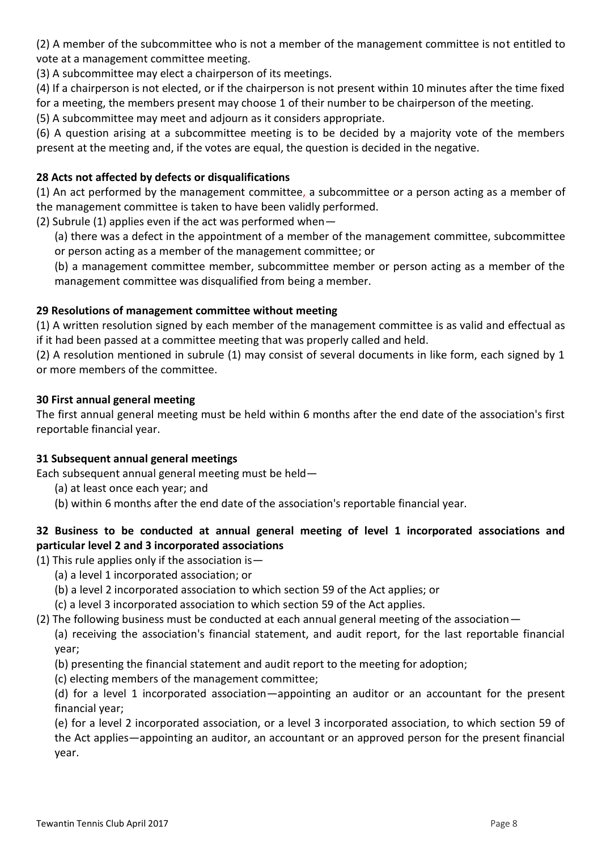(2) A member of the subcommittee who is not a member of the management committee is not entitled to vote at a management committee meeting.

(3) A subcommittee may elect a chairperson of its meetings.

(4) If a chairperson is not elected, or if the chairperson is not present within 10 minutes after the time fixed

for a meeting, the members present may choose 1 of their number to be chairperson of the meeting.

(5) A subcommittee may meet and adjourn as it considers appropriate.

(6) A question arising at a subcommittee meeting is to be decided by a majority vote of the members present at the meeting and, if the votes are equal, the question is decided in the negative.

## **28 Acts not affected by defects or disqualifications**

(1) An act performed by the management committee, a subcommittee or a person acting as a member of the management committee is taken to have been validly performed.

(2) Subrule (1) applies even if the act was performed when—

(a) there was a defect in the appointment of a member of the management committee, subcommittee or person acting as a member of the management committee; or

(b) a management committee member, subcommittee member or person acting as a member of the management committee was disqualified from being a member.

#### **29 Resolutions of management committee without meeting**

(1) A written resolution signed by each member of the management committee is as valid and effectual as if it had been passed at a committee meeting that was properly called and held.

(2) A resolution mentioned in subrule (1) may consist of several documents in like form, each signed by 1 or more members of the committee.

#### **30 First annual general meeting**

The first annual general meeting must be held within 6 months after the end date of the association's first reportable financial year.

#### **31 Subsequent annual general meetings**

Each subsequent annual general meeting must be held—

- (a) at least once each year; and
- (b) within 6 months after the end date of the association's reportable financial year.

# **32 Business to be conducted at annual general meeting of level 1 incorporated associations and particular level 2 and 3 incorporated associations**

(1) This rule applies only if the association is  $-$ 

- (a) a level 1 incorporated association; or
- (b) a level 2 incorporated association to which section 59 of the Act applies; or
- (c) a level 3 incorporated association to which section 59 of the Act applies.

## (2) The following business must be conducted at each annual general meeting of the association—

(a) receiving the association's financial statement, and audit report, for the last reportable financial year;

(b) presenting the financial statement and audit report to the meeting for adoption;

(c) electing members of the management committee;

(d) for a level 1 incorporated association—appointing an auditor or an accountant for the present financial year;

(e) for a level 2 incorporated association, or a level 3 incorporated association, to which section 59 of the Act applies—appointing an auditor, an accountant or an approved person for the present financial year.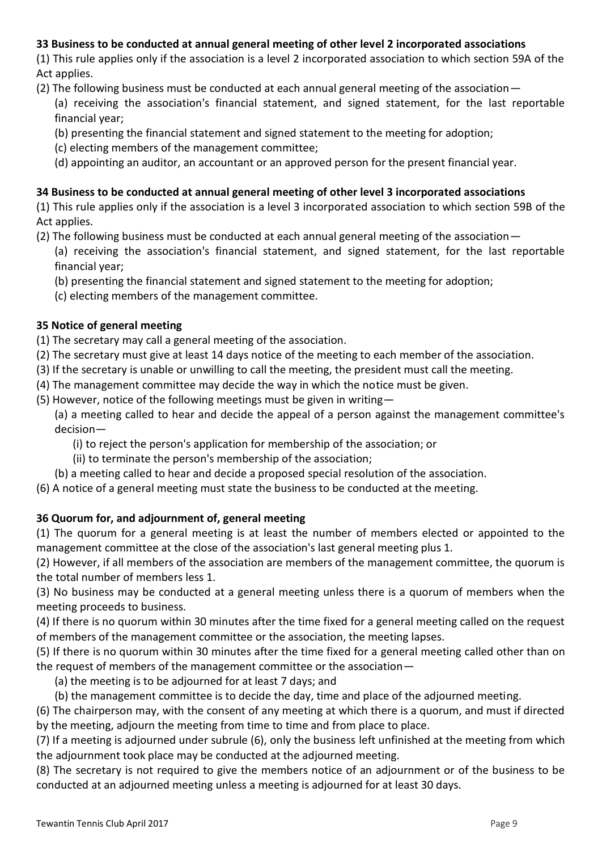# **33 Business to be conducted at annual general meeting of other level 2 incorporated associations**

(1) This rule applies only if the association is a level 2 incorporated association to which section 59A of the Act applies.

- (2) The following business must be conducted at each annual general meeting of the association—
	- (a) receiving the association's financial statement, and signed statement, for the last reportable financial year;
	- (b) presenting the financial statement and signed statement to the meeting for adoption;
	- (c) electing members of the management committee;
	- (d) appointing an auditor, an accountant or an approved person for the present financial year.

## **34 Business to be conducted at annual general meeting of other level 3 incorporated associations**

(1) This rule applies only if the association is a level 3 incorporated association to which section 59B of the Act applies.

- (2) The following business must be conducted at each annual general meeting of the association—
	- (a) receiving the association's financial statement, and signed statement, for the last reportable financial year;
	- (b) presenting the financial statement and signed statement to the meeting for adoption;
	- (c) electing members of the management committee.

# **35 Notice of general meeting**

(1) The secretary may call a general meeting of the association.

- (2) The secretary must give at least 14 days notice of the meeting to each member of the association.
- (3) If the secretary is unable or unwilling to call the meeting, the president must call the meeting.
- (4) The management committee may decide the way in which the notice must be given.
- (5) However, notice of the following meetings must be given in writing—
	- (a) a meeting called to hear and decide the appeal of a person against the management committee's decision—
		- (i) to reject the person's application for membership of the association; or
		- (ii) to terminate the person's membership of the association;
	- (b) a meeting called to hear and decide a proposed special resolution of the association.
- (6) A notice of a general meeting must state the business to be conducted at the meeting.

# **36 Quorum for, and adjournment of, general meeting**

(1) The quorum for a general meeting is at least the number of members elected or appointed to the management committee at the close of the association's last general meeting plus 1.

(2) However, if all members of the association are members of the management committee, the quorum is the total number of members less 1.

(3) No business may be conducted at a general meeting unless there is a quorum of members when the meeting proceeds to business.

(4) If there is no quorum within 30 minutes after the time fixed for a general meeting called on the request of members of the management committee or the association, the meeting lapses.

(5) If there is no quorum within 30 minutes after the time fixed for a general meeting called other than on the request of members of the management committee or the association—

- (a) the meeting is to be adjourned for at least 7 days; and
- (b) the management committee is to decide the day, time and place of the adjourned meeting.

(6) The chairperson may, with the consent of any meeting at which there is a quorum, and must if directed by the meeting, adjourn the meeting from time to time and from place to place.

(7) If a meeting is adjourned under subrule (6), only the business left unfinished at the meeting from which the adjournment took place may be conducted at the adjourned meeting.

(8) The secretary is not required to give the members notice of an adjournment or of the business to be conducted at an adjourned meeting unless a meeting is adjourned for at least 30 days.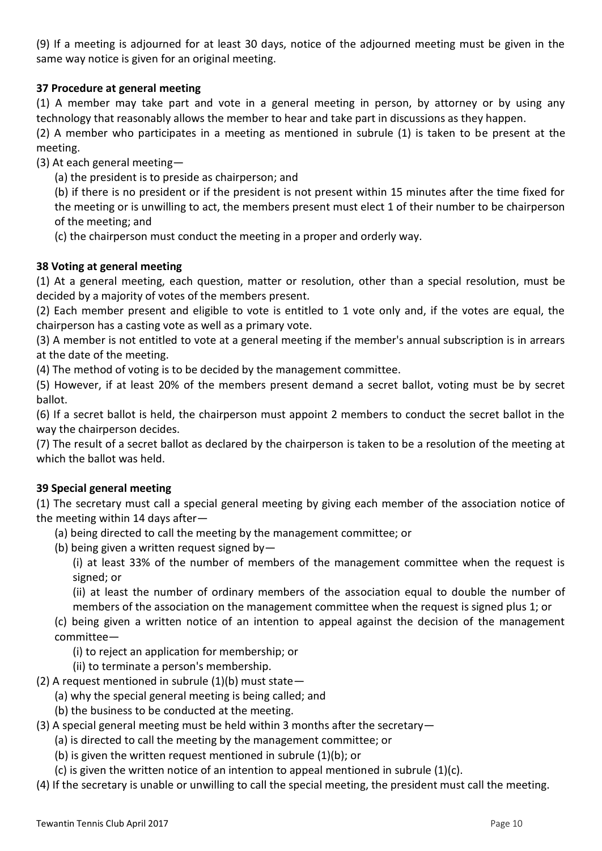(9) If a meeting is adjourned for at least 30 days, notice of the adjourned meeting must be given in the same way notice is given for an original meeting.

# **37 Procedure at general meeting**

(1) A member may take part and vote in a general meeting in person, by attorney or by using any technology that reasonably allows the member to hear and take part in discussions as they happen.

(2) A member who participates in a meeting as mentioned in subrule (1) is taken to be present at the meeting.

(3) At each general meeting—

(a) the president is to preside as chairperson; and

(b) if there is no president or if the president is not present within 15 minutes after the time fixed for the meeting or is unwilling to act, the members present must elect 1 of their number to be chairperson of the meeting; and

(c) the chairperson must conduct the meeting in a proper and orderly way.

#### **38 Voting at general meeting**

(1) At a general meeting, each question, matter or resolution, other than a special resolution, must be decided by a majority of votes of the members present.

(2) Each member present and eligible to vote is entitled to 1 vote only and, if the votes are equal, the chairperson has a casting vote as well as a primary vote.

(3) A member is not entitled to vote at a general meeting if the member's annual subscription is in arrears at the date of the meeting.

(4) The method of voting is to be decided by the management committee.

(5) However, if at least 20% of the members present demand a secret ballot, voting must be by secret ballot.

(6) If a secret ballot is held, the chairperson must appoint 2 members to conduct the secret ballot in the way the chairperson decides.

(7) The result of a secret ballot as declared by the chairperson is taken to be a resolution of the meeting at which the ballot was held.

#### **39 Special general meeting**

(1) The secretary must call a special general meeting by giving each member of the association notice of the meeting within 14 days after—

- (a) being directed to call the meeting by the management committee; or
- (b) being given a written request signed by  $-$

(i) at least 33% of the number of members of the management committee when the request is signed; or

(ii) at least the number of ordinary members of the association equal to double the number of members of the association on the management committee when the request is signed plus 1; or

(c) being given a written notice of an intention to appeal against the decision of the management committee—

(i) to reject an application for membership; or

- (ii) to terminate a person's membership.
- (2) A request mentioned in subrule  $(1)(b)$  must state -
	- (a) why the special general meeting is being called; and
	- (b) the business to be conducted at the meeting.
- (3) A special general meeting must be held within 3 months after the secretary—
	- (a) is directed to call the meeting by the management committee; or
	- (b) is given the written request mentioned in subrule (1)(b); or
	- (c) is given the written notice of an intention to appeal mentioned in subrule  $(1)(c)$ .
- (4) If the secretary is unable or unwilling to call the special meeting, the president must call the meeting.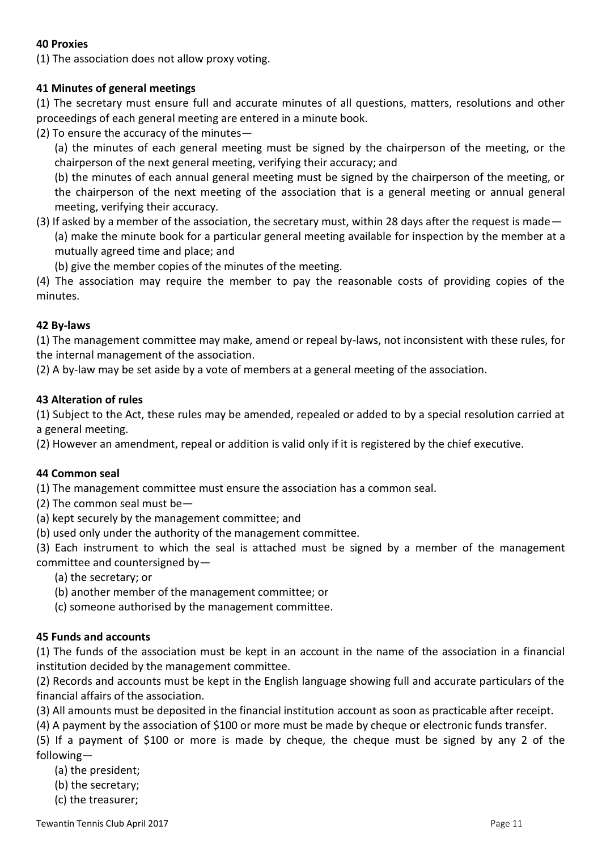#### **40 Proxies**

(1) The association does not allow proxy voting.

#### **41 Minutes of general meetings**

(1) The secretary must ensure full and accurate minutes of all questions, matters, resolutions and other proceedings of each general meeting are entered in a minute book.

(2) To ensure the accuracy of the minutes—

(a) the minutes of each general meeting must be signed by the chairperson of the meeting, or the chairperson of the next general meeting, verifying their accuracy; and

(b) the minutes of each annual general meeting must be signed by the chairperson of the meeting, or the chairperson of the next meeting of the association that is a general meeting or annual general meeting, verifying their accuracy.

# (3) If asked by a member of the association, the secretary must, within 28 days after the request is made— (a) make the minute book for a particular general meeting available for inspection by the member at a mutually agreed time and place; and

(b) give the member copies of the minutes of the meeting.

(4) The association may require the member to pay the reasonable costs of providing copies of the minutes.

#### **42 By-laws**

(1) The management committee may make, amend or repeal by-laws, not inconsistent with these rules, for the internal management of the association.

(2) A by-law may be set aside by a vote of members at a general meeting of the association.

#### **43 Alteration of rules**

(1) Subject to the Act, these rules may be amended, repealed or added to by a special resolution carried at a general meeting.

(2) However an amendment, repeal or addition is valid only if it is registered by the chief executive.

#### **44 Common seal**

(1) The management committee must ensure the association has a common seal.

- (2) The common seal must be—
- (a) kept securely by the management committee; and
- (b) used only under the authority of the management committee.

(3) Each instrument to which the seal is attached must be signed by a member of the management committee and countersigned by—

(a) the secretary; or

- (b) another member of the management committee; or
- (c) someone authorised by the management committee.

#### **45 Funds and accounts**

(1) The funds of the association must be kept in an account in the name of the association in a financial institution decided by the management committee.

(2) Records and accounts must be kept in the English language showing full and accurate particulars of the financial affairs of the association.

(3) All amounts must be deposited in the financial institution account as soon as practicable after receipt.

(4) A payment by the association of \$100 or more must be made by cheque or electronic funds transfer.

(5) If a payment of \$100 or more is made by cheque, the cheque must be signed by any 2 of the following—

(a) the president;

(b) the secretary;

(c) the treasurer;